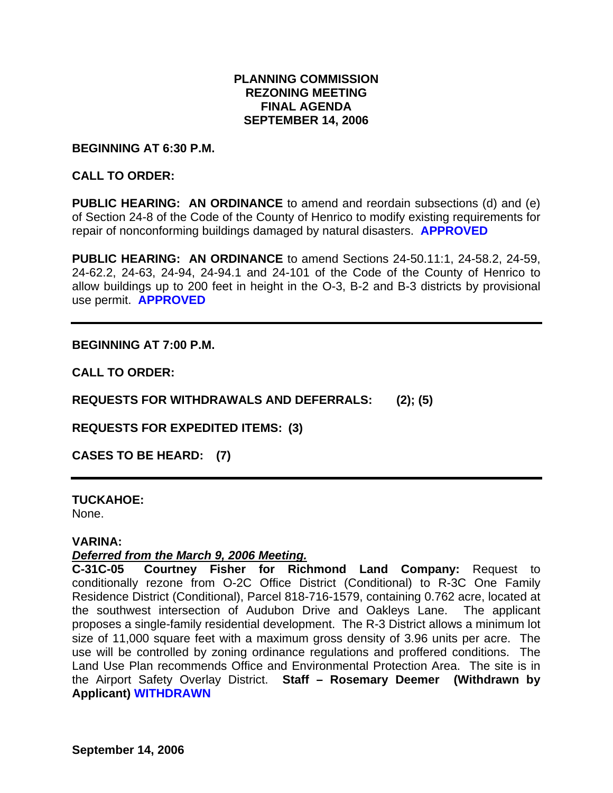## **PLANNING COMMISSION REZONING MEETING FINAL AGENDA SEPTEMBER 14, 2006**

#### **BEGINNING AT 6:30 P.M.**

## **CALL TO ORDER:**

**PUBLIC HEARING: AN ORDINANCE** to amend and reordain subsections (d) and (e) of Section 24-8 of the Code of the County of Henrico to modify existing requirements for repair of nonconforming buildings damaged by natural disasters. **APPROVED** 

**PUBLIC HEARING: AN ORDINANCE** to amend Sections 24-50.11:1, 24-58.2, 24-59, 24-62.2, 24-63, 24-94, 24-94.1 and 24-101 of the Code of the County of Henrico to allow buildings up to 200 feet in height in the O-3, B-2 and B-3 districts by provisional use permit. **APPROVED** 

## **BEGINNING AT 7:00 P.M.**

**CALL TO ORDER:** 

**REQUESTS FOR WITHDRAWALS AND DEFERRALS: (2); (5)** 

**REQUESTS FOR EXPEDITED ITEMS: (3)** 

**CASES TO BE HEARD: (7)** 

# **TUCKAHOE:**

None.

#### **VARINA:**

## *Deferred from the March 9, 2006 Meeting.*

**C-31C-05 Courtney Fisher for Richmond Land Company:** Request to conditionally rezone from O-2C Office District (Conditional) to R-3C One Family Residence District (Conditional), Parcel 818-716-1579, containing 0.762 acre, located at the southwest intersection of Audubon Drive and Oakleys Lane. The applicant proposes a single-family residential development. The R-3 District allows a minimum lot size of 11,000 square feet with a maximum gross density of 3.96 units per acre. The use will be controlled by zoning ordinance regulations and proffered conditions. The Land Use Plan recommends Office and Environmental Protection Area. The site is in the Airport Safety Overlay District. **Staff – Rosemary Deemer (Withdrawn by Applicant) WITHDRAWN**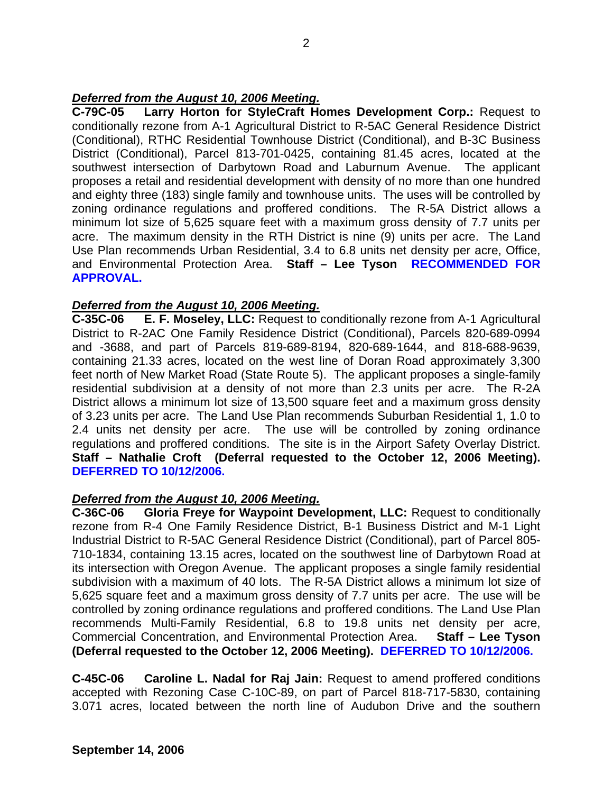## *Deferred from the August 10, 2006 Meeting.*

**C-79C-05 Larry Horton for StyleCraft Homes Development Corp.:** Request to conditionally rezone from A-1 Agricultural District to R-5AC General Residence District (Conditional), RTHC Residential Townhouse District (Conditional), and B-3C Business District (Conditional), Parcel 813-701-0425, containing 81.45 acres, located at the southwest intersection of Darbytown Road and Laburnum Avenue. The applicant proposes a retail and residential development with density of no more than one hundred and eighty three (183) single family and townhouse units. The uses will be controlled by zoning ordinance regulations and proffered conditions. The R-5A District allows a minimum lot size of 5,625 square feet with a maximum gross density of 7.7 units per acre. The maximum density in the RTH District is nine (9) units per acre. The Land Use Plan recommends Urban Residential, 3.4 to 6.8 units net density per acre, Office, and Environmental Protection Area. **Staff – Lee Tyson RECOMMENDED FOR APPROVAL.** 

## *Deferred from the August 10, 2006 Meeting.*

**C-35C-06 E. F. Moseley, LLC:** Request to conditionally rezone from A-1 Agricultural District to R-2AC One Family Residence District (Conditional), Parcels 820-689-0994 and -3688, and part of Parcels 819-689-8194, 820-689-1644, and 818-688-9639, containing 21.33 acres, located on the west line of Doran Road approximately 3,300 feet north of New Market Road (State Route 5). The applicant proposes a single-family residential subdivision at a density of not more than 2.3 units per acre. The R-2A District allows a minimum lot size of 13,500 square feet and a maximum gross density of 3.23 units per acre. The Land Use Plan recommends Suburban Residential 1, 1.0 to 2.4 units net density per acre. The use will be controlled by zoning ordinance regulations and proffered conditions. The site is in the Airport Safety Overlay District. **Staff – Nathalie Croft (Deferral requested to the October 12, 2006 Meeting). DEFERRED TO 10/12/2006.** 

#### *Deferred from the August 10, 2006 Meeting.*

**C-36C-06 Gloria Freye for Waypoint Development, LLC:** Request to conditionally rezone from R-4 One Family Residence District, B-1 Business District and M-1 Light Industrial District to R-5AC General Residence District (Conditional), part of Parcel 805- 710-1834, containing 13.15 acres, located on the southwest line of Darbytown Road at its intersection with Oregon Avenue. The applicant proposes a single family residential subdivision with a maximum of 40 lots. The R-5A District allows a minimum lot size of 5,625 square feet and a maximum gross density of 7.7 units per acre. The use will be controlled by zoning ordinance regulations and proffered conditions. The Land Use Plan recommends Multi-Family Residential, 6.8 to 19.8 units net density per acre, Commercial Concentration, and Environmental Protection Area. **Staff – Lee Tyson (Deferral requested to the October 12, 2006 Meeting). DEFERRED TO 10/12/2006.** 

**C-45C-06 Caroline L. Nadal for Raj Jain:** Request to amend proffered conditions accepted with Rezoning Case C-10C-89, on part of Parcel 818-717-5830, containing 3.071 acres, located between the north line of Audubon Drive and the southern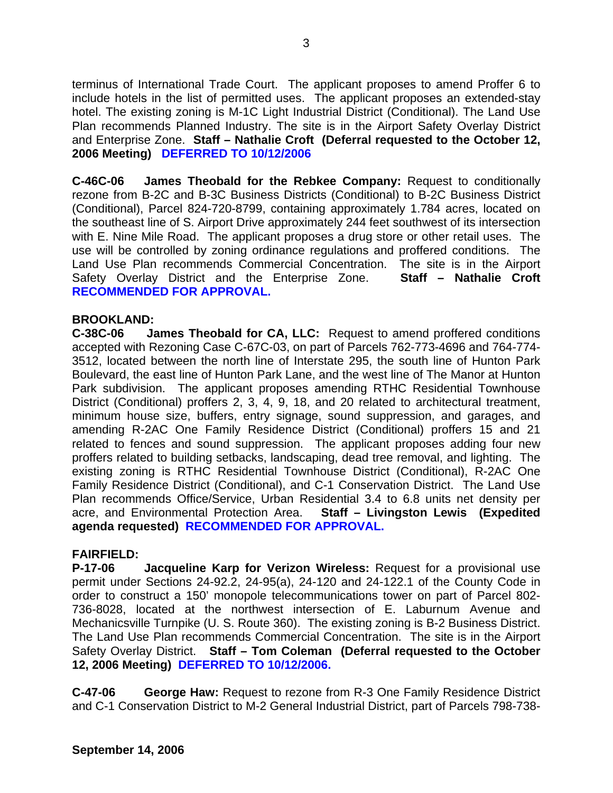terminus of International Trade Court. The applicant proposes to amend Proffer 6 to include hotels in the list of permitted uses. The applicant proposes an extended-stay hotel. The existing zoning is M-1C Light Industrial District (Conditional). The Land Use Plan recommends Planned Industry. The site is in the Airport Safety Overlay District and Enterprise Zone. **Staff – Nathalie Croft (Deferral requested to the October 12, 2006 Meeting) DEFERRED TO 10/12/2006** 

**C-46C-06 James Theobald for the Rebkee Company:** Request to conditionally rezone from B-2C and B-3C Business Districts (Conditional) to B-2C Business District (Conditional), Parcel 824-720-8799, containing approximately 1.784 acres, located on the southeast line of S. Airport Drive approximately 244 feet southwest of its intersection with E. Nine Mile Road. The applicant proposes a drug store or other retail uses. The use will be controlled by zoning ordinance regulations and proffered conditions. The Land Use Plan recommends Commercial Concentration. The site is in the Airport Safety Overlay District and the Enterprise Zone. **Staff – Nathalie Croft RECOMMENDED FOR APPROVAL.** 

## **BROOKLAND:**

**C-38C-06 James Theobald for CA, LLC:** Request to amend proffered conditions accepted with Rezoning Case C-67C-03, on part of Parcels 762-773-4696 and 764-774- 3512, located between the north line of Interstate 295, the south line of Hunton Park Boulevard, the east line of Hunton Park Lane, and the west line of The Manor at Hunton Park subdivision. The applicant proposes amending RTHC Residential Townhouse District (Conditional) proffers 2, 3, 4, 9, 18, and 20 related to architectural treatment, minimum house size, buffers, entry signage, sound suppression, and garages, and amending R-2AC One Family Residence District (Conditional) proffers 15 and 21 related to fences and sound suppression. The applicant proposes adding four new proffers related to building setbacks, landscaping, dead tree removal, and lighting. The existing zoning is RTHC Residential Townhouse District (Conditional), R-2AC One Family Residence District (Conditional), and C-1 Conservation District. The Land Use Plan recommends Office/Service, Urban Residential 3.4 to 6.8 units net density per acre, and Environmental Protection Area. **Staff – Livingston Lewis (Expedited agenda requested) RECOMMENDED FOR APPROVAL.**

#### **FAIRFIELD:**

**P-17-06 Jacqueline Karp for Verizon Wireless:** Request for a provisional use permit under Sections 24-92.2, 24-95(a), 24-120 and 24-122.1 of the County Code in order to construct a 150' monopole telecommunications tower on part of Parcel 802- 736-8028, located at the northwest intersection of E. Laburnum Avenue and Mechanicsville Turnpike (U. S. Route 360). The existing zoning is B-2 Business District. The Land Use Plan recommends Commercial Concentration. The site is in the Airport Safety Overlay District. **Staff – Tom Coleman (Deferral requested to the October 12, 2006 Meeting) DEFERRED TO 10/12/2006.** 

**C-47-06 George Haw:** Request to rezone from R-3 One Family Residence District and C-1 Conservation District to M-2 General Industrial District, part of Parcels 798-738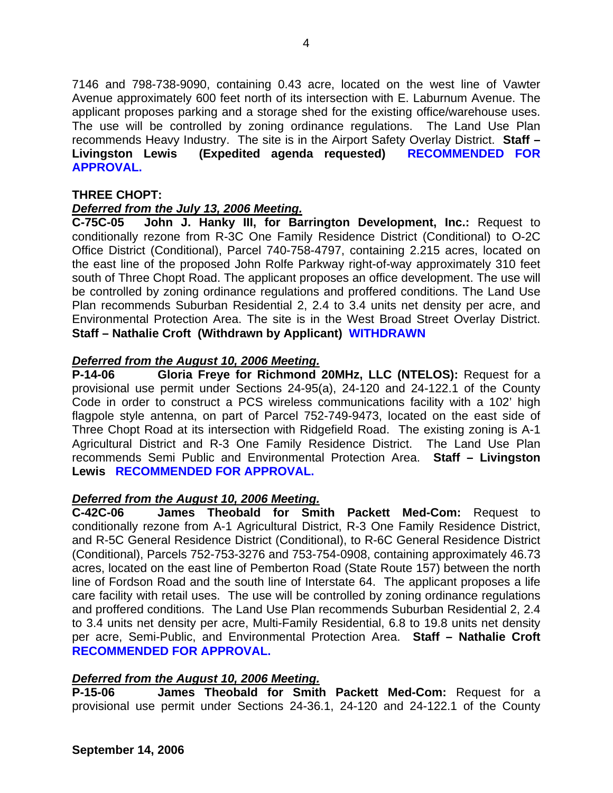7146 and 798-738-9090, containing 0.43 acre, located on the west line of Vawter Avenue approximately 600 feet north of its intersection with E. Laburnum Avenue. The applicant proposes parking and a storage shed for the existing office/warehouse uses. The use will be controlled by zoning ordinance regulations. The Land Use Plan recommends Heavy Industry. The site is in the Airport Safety Overlay District. **Staff – Livingston Lewis (Expedited agenda requested) RECOMMENDED FOR APPROVAL.** 

## **THREE CHOPT:**

## *Deferred from the July 13, 2006 Meeting.*

**C-75C-05 John J. Hanky III, for Barrington Development, Inc.:** Request to conditionally rezone from R-3C One Family Residence District (Conditional) to O-2C Office District (Conditional), Parcel 740-758-4797, containing 2.215 acres, located on the east line of the proposed John Rolfe Parkway right-of-way approximately 310 feet south of Three Chopt Road. The applicant proposes an office development. The use will be controlled by zoning ordinance regulations and proffered conditions. The Land Use Plan recommends Suburban Residential 2, 2.4 to 3.4 units net density per acre, and Environmental Protection Area. The site is in the West Broad Street Overlay District. **Staff – Nathalie Croft (Withdrawn by Applicant) WITHDRAWN** 

## *Deferred from the August 10, 2006 Meeting.*

**P-14-06 Gloria Freye for Richmond 20MHz, LLC (NTELOS):** Request for a provisional use permit under Sections 24-95(a), 24-120 and 24-122.1 of the County Code in order to construct a PCS wireless communications facility with a 102' high flagpole style antenna, on part of Parcel 752-749-9473, located on the east side of Three Chopt Road at its intersection with Ridgefield Road. The existing zoning is A-1 Agricultural District and R-3 One Family Residence District. The Land Use Plan recommends Semi Public and Environmental Protection Area. **Staff – Livingston Lewis RECOMMENDED FOR APPROVAL.** 

#### *Deferred from the August 10, 2006 Meeting.*

**C-42C-06 James Theobald for Smith Packett Med-Com:** Request to conditionally rezone from A-1 Agricultural District, R-3 One Family Residence District, and R-5C General Residence District (Conditional), to R-6C General Residence District (Conditional), Parcels 752-753-3276 and 753-754-0908, containing approximately 46.73 acres, located on the east line of Pemberton Road (State Route 157) between the north line of Fordson Road and the south line of Interstate 64. The applicant proposes a life care facility with retail uses. The use will be controlled by zoning ordinance regulations and proffered conditions. The Land Use Plan recommends Suburban Residential 2, 2.4 to 3.4 units net density per acre, Multi-Family Residential, 6.8 to 19.8 units net density per acre, Semi-Public, and Environmental Protection Area. **Staff – Nathalie Croft RECOMMENDED FOR APPROVAL.** 

#### *Deferred from the August 10, 2006 Meeting.*

**P-15-06 James Theobald for Smith Packett Med-Com:** Request for a provisional use permit under Sections 24-36.1, 24-120 and 24-122.1 of the County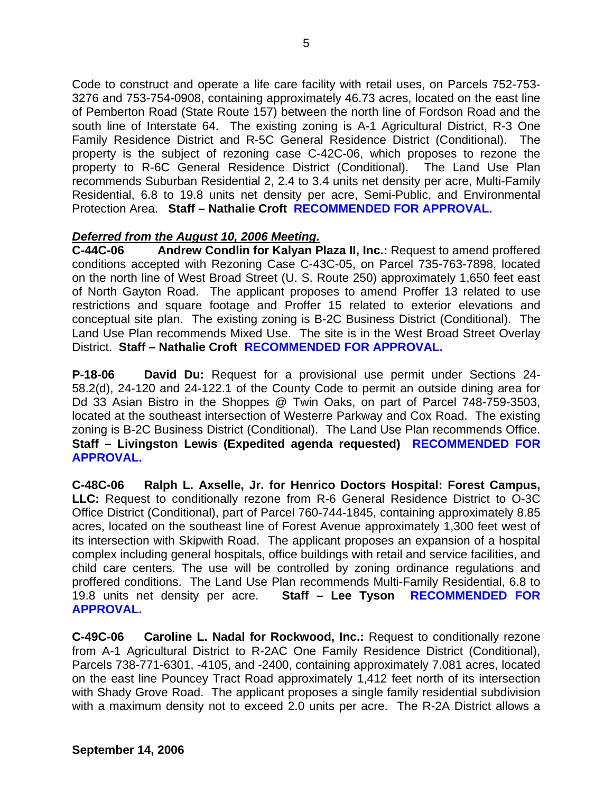Code to construct and operate a life care facility with retail uses, on Parcels 752-753- 3276 and 753-754-0908, containing approximately 46.73 acres, located on the east line of Pemberton Road (State Route 157) between the north line of Fordson Road and the south line of Interstate 64. The existing zoning is A-1 Agricultural District, R-3 One Family Residence District and R-5C General Residence District (Conditional). The property is the subject of rezoning case C-42C-06, which proposes to rezone the property to R-6C General Residence District (Conditional). The Land Use Plan recommends Suburban Residential 2, 2.4 to 3.4 units net density per acre, Multi-Family Residential, 6.8 to 19.8 units net density per acre, Semi-Public, and Environmental Protection Area. **Staff – Nathalie Croft RECOMMENDED FOR APPROVAL.** 

## *Deferred from the August 10, 2006 Meeting.*

**C-44C-06 Andrew Condlin for Kalyan Plaza II, Inc.:** Request to amend proffered conditions accepted with Rezoning Case C-43C-05, on Parcel 735-763-7898, located on the north line of West Broad Street (U. S. Route 250) approximately 1,650 feet east of North Gayton Road. The applicant proposes to amend Proffer 13 related to use restrictions and square footage and Proffer 15 related to exterior elevations and conceptual site plan. The existing zoning is B-2C Business District (Conditional). The Land Use Plan recommends Mixed Use. The site is in the West Broad Street Overlay District. **Staff – Nathalie Croft RECOMMENDED FOR APPROVAL.**

**P-18-06 David Du:** Request for a provisional use permit under Sections 24- 58.2(d), 24-120 and 24-122.1 of the County Code to permit an outside dining area for Dd 33 Asian Bistro in the Shoppes @ Twin Oaks, on part of Parcel 748-759-3503, located at the southeast intersection of Westerre Parkway and Cox Road. The existing zoning is B-2C Business District (Conditional). The Land Use Plan recommends Office. **Staff – Livingston Lewis (Expedited agenda requested) RECOMMENDED FOR APPROVAL.** 

**C-48C-06 Ralph L. Axselle, Jr. for Henrico Doctors Hospital: Forest Campus, LLC:** Request to conditionally rezone from R-6 General Residence District to O-3C Office District (Conditional), part of Parcel 760-744-1845, containing approximately 8.85 acres, located on the southeast line of Forest Avenue approximately 1,300 feet west of its intersection with Skipwith Road. The applicant proposes an expansion of a hospital complex including general hospitals, office buildings with retail and service facilities, and child care centers. The use will be controlled by zoning ordinance regulations and proffered conditions. The Land Use Plan recommends Multi-Family Residential, 6.8 to 19.8 units net density per acre. **Staff – Lee Tyson RECOMMENDED FOR APPROVAL.** 

**C-49C-06 Caroline L. Nadal for Rockwood, Inc.:** Request to conditionally rezone from A-1 Agricultural District to R-2AC One Family Residence District (Conditional), Parcels 738-771-6301, -4105, and -2400, containing approximately 7.081 acres, located on the east line Pouncey Tract Road approximately 1,412 feet north of its intersection with Shady Grove Road. The applicant proposes a single family residential subdivision with a maximum density not to exceed 2.0 units per acre. The R-2A District allows a